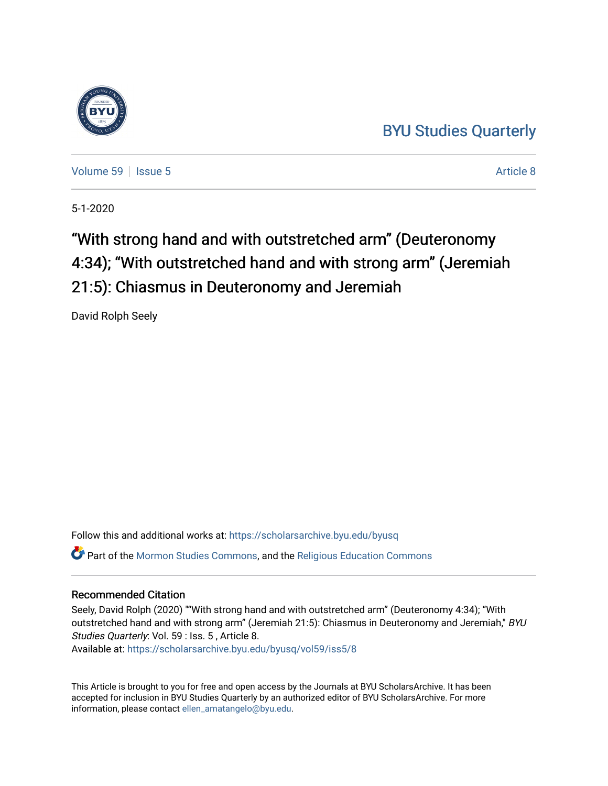## [BYU Studies Quarterly](https://scholarsarchive.byu.edu/byusq)



[Volume 59](https://scholarsarchive.byu.edu/byusq/vol59) | [Issue 5](https://scholarsarchive.byu.edu/byusq/vol59/iss5) Article 8

5-1-2020

# "With strong hand and with outstretched arm" (Deuteronomy 4:34); "With outstretched hand and with strong arm" (Jeremiah 21:5): Chiasmus in Deuteronomy and Jeremiah

David Rolph Seely

Follow this and additional works at: [https://scholarsarchive.byu.edu/byusq](https://scholarsarchive.byu.edu/byusq?utm_source=scholarsarchive.byu.edu%2Fbyusq%2Fvol59%2Fiss5%2F8&utm_medium=PDF&utm_campaign=PDFCoverPages)  Part of the [Mormon Studies Commons](http://network.bepress.com/hgg/discipline/1360?utm_source=scholarsarchive.byu.edu%2Fbyusq%2Fvol59%2Fiss5%2F8&utm_medium=PDF&utm_campaign=PDFCoverPages), and the [Religious Education Commons](http://network.bepress.com/hgg/discipline/1414?utm_source=scholarsarchive.byu.edu%2Fbyusq%2Fvol59%2Fiss5%2F8&utm_medium=PDF&utm_campaign=PDFCoverPages) 

## Recommended Citation

Seely, David Rolph (2020) ""With strong hand and with outstretched arm" (Deuteronomy 4:34); "With outstretched hand and with strong arm" (Jeremiah 21:5): Chiasmus in Deuteronomy and Jeremiah," BYU Studies Quarterly: Vol. 59 : Iss. 5 , Article 8.

Available at: [https://scholarsarchive.byu.edu/byusq/vol59/iss5/8](https://scholarsarchive.byu.edu/byusq/vol59/iss5/8?utm_source=scholarsarchive.byu.edu%2Fbyusq%2Fvol59%2Fiss5%2F8&utm_medium=PDF&utm_campaign=PDFCoverPages)

This Article is brought to you for free and open access by the Journals at BYU ScholarsArchive. It has been accepted for inclusion in BYU Studies Quarterly by an authorized editor of BYU ScholarsArchive. For more information, please contact [ellen\\_amatangelo@byu.edu.](mailto:ellen_amatangelo@byu.edu)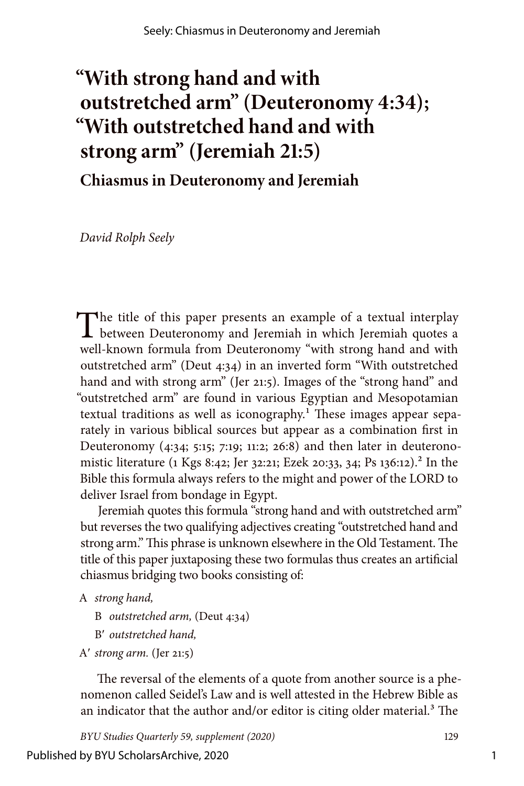## **"With strong hand and with outstretched arm" (Deuteronomy 4:34); "With outstretched hand and with strong arm" (Jeremiah 21:5)**

**Chiasmus in Deuteronomy and Jeremiah**

*David Rolph Seely*

The title of this paper presents an example of a textual interplay<br>between Deuteronomy and Jeremiah in which Jeremiah quotes a well-known formula from Deuteronomy "with strong hand and with outstretched arm" (Deut 4:34) in an inverted form "With outstretched hand and with strong arm" (Jer 21:5). Images of the "strong hand" and "outstretched arm" are found in various Egyptian and Mesopotamian textual traditions as well as iconography.<sup>1</sup> These images appear separately in various biblical sources but appear as a combination first in Deuteronomy (4:34; 5:15; 7:19; 11:2; 26:8) and then later in deuteronomistic literature (1 Kgs 8:42; Jer 32:21; Ezek 20:33, 34; Ps 136:12).<sup>2</sup> In the Bible this formula always refers to the might and power of the LORD to deliver Israel from bondage in Egypt.

Jeremiah quotes this formula "strong hand and with outstretched arm" but reverses the two qualifying adjectives creating "outstretched hand and strong arm." This phrase is unknown elsewhere in the Old Testament. The title of this paper juxtaposing these two formulas thus creates an artificial chiasmus bridging two books consisting of:

- A *strong hand,*
	- B *outstretched arm,* (Deut 4:34)
	- B′ *outstretched hand,*
- A′ *strong arm.* (Jer 21:5)

The reversal of the elements of a quote from another source is a phenomenon called Seidel's Law and is well attested in the Hebrew Bible as an indicator that the author and/or editor is citing older material.<sup>3</sup> The

*BYU Studies Quarterly 59, supplement (2020)* 129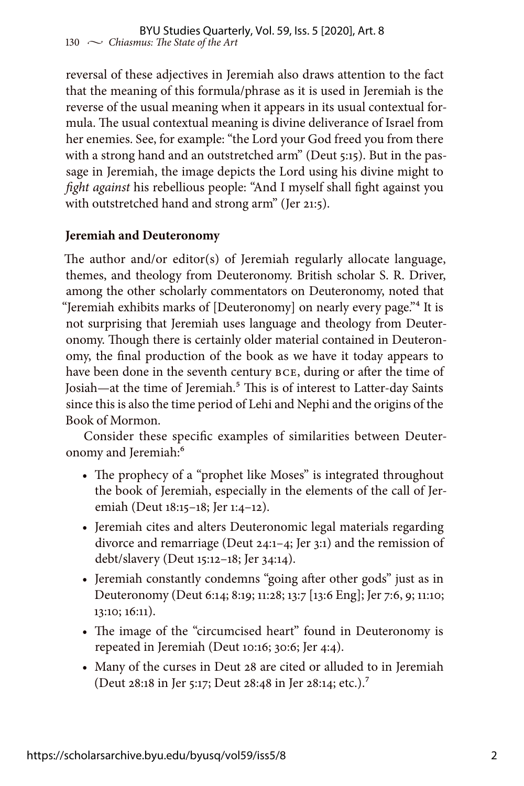reversal of these adjectives in Jeremiah also draws attention to the fact that the meaning of this formula/phrase as it is used in Jeremiah is the reverse of the usual meaning when it appears in its usual contextual formula. The usual contextual meaning is divine deliverance of Israel from her enemies. See, for example: "the Lord your God freed you from there with a strong hand and an outstretched arm" (Deut 5:15). But in the passage in Jeremiah, the image depicts the Lord using his divine might to *fight against* his rebellious people: "And I myself shall fight against you with outstretched hand and strong arm" (Jer 21:5).

## **Jeremiah and Deuteronomy**

The author and/or editor(s) of Jeremiah regularly allocate language, themes, and theology from Deuteronomy. British scholar S. R. Driver, among the other scholarly commentators on Deuteronomy, noted that "Jeremiah exhibits marks of [Deuteronomy] on nearly every page."4 It is not surprising that Jeremiah uses language and theology from Deuteronomy. Though there is certainly older material contained in Deuteronomy, the final production of the book as we have it today appears to have been done in the seventh century BCE, during or after the time of Josiah—at the time of Jeremiah.<sup>5</sup> This is of interest to Latter-day Saints since this is also the time period of Lehi and Nephi and the origins of the Book of Mormon.

Consider these specific examples of similarities between Deuteronomy and Jeremiah:<sup>6</sup>

- The prophecy of a "prophet like Moses" is integrated throughout the book of Jeremiah, especially in the elements of the call of Jeremiah (Deut 18:15–18; Jer 1:4–12).
- Jeremiah cites and alters Deuteronomic legal materials regarding divorce and remarriage (Deut 24:1–4; Jer 3:1) and the remission of debt/slavery (Deut 15:12–18; Jer 34:14).
- Jeremiah constantly condemns "going after other gods" just as in Deuteronomy (Deut 6:14; 8:19; 11:28; 13:7 [13:6 Eng]; Jer 7:6, 9; 11:10; 13:10; 16:11).
- The image of the "circumcised heart" found in Deuteronomy is repeated in Jeremiah (Deut 10:16; 30:6; Jer 4:4).
- Many of the curses in Deut 28 are cited or alluded to in Jeremiah (Deut 28:18 in Jer 5:17; Deut 28:48 in Jer 28:14; etc.).7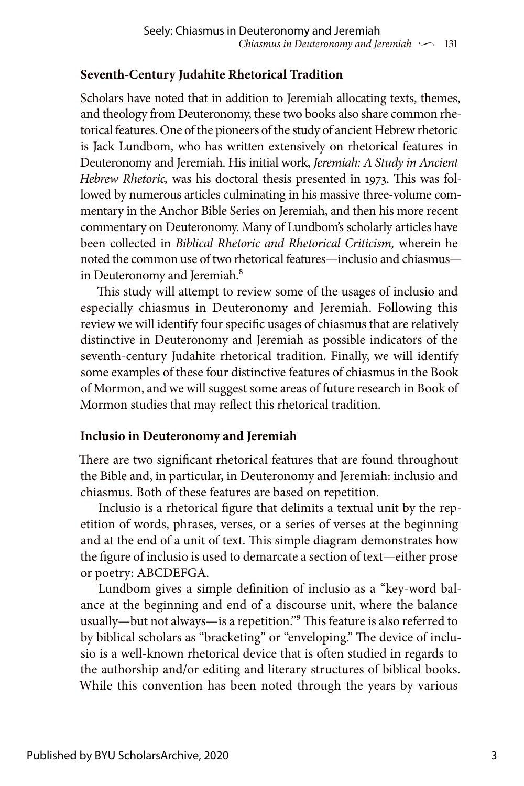## **Seventh-Century Judahite Rhetorical Tradition**

Scholars have noted that in addition to Jeremiah allocating texts, themes, and theology from Deuteronomy, these two books also share common rhetorical features. One of the pioneers of the study of ancient Hebrew rhetoric is Jack Lundbom, who has written extensively on rhetorical features in Deuteronomy and Jeremiah. His initial work, *Jeremiah: A Study in Ancient Hebrew Rhetoric,* was his doctoral thesis presented in 1973. This was followed by numerous articles culminating in his massive three-volume commentary in the Anchor Bible Series on Jeremiah, and then his more recent commentary on Deuteronomy. Many of Lundbom's scholarly articles have been collected in *Biblical Rhetoric and Rhetorical Criticism,* wherein he noted the common use of two rhetorical features—inclusio and chiasmus in Deuteronomy and Jeremiah.<sup>8</sup>

This study will attempt to review some of the usages of inclusio and especially chiasmus in Deuteronomy and Jeremiah. Following this review we will identify four specific usages of chiasmus that are relatively distinctive in Deuteronomy and Jeremiah as possible indicators of the seventh-century Judahite rhetorical tradition. Finally, we will identify some examples of these four distinctive features of chiasmus in the Book of Mormon, and we will suggest some areas of future research in Book of Mormon studies that may reflect this rhetorical tradition.

## **Inclusio in Deuteronomy and Jeremiah**

There are two significant rhetorical features that are found throughout the Bible and, in particular, in Deuteronomy and Jeremiah: inclusio and chiasmus. Both of these features are based on repetition.

Inclusio is a rhetorical figure that delimits a textual unit by the repetition of words, phrases, verses, or a series of verses at the beginning and at the end of a unit of text. This simple diagram demonstrates how the figure of inclusio is used to demarcate a section of text—either prose or poetry: ABCDEFGA.

Lundbom gives a simple definition of inclusio as a "key-word balance at the beginning and end of a discourse unit, where the balance usually—but not always—is a repetition."9 This feature is also referred to by biblical scholars as "bracketing" or "enveloping." The device of inclusio is a well-known rhetorical device that is often studied in regards to the authorship and/or editing and literary structures of biblical books. While this convention has been noted through the years by various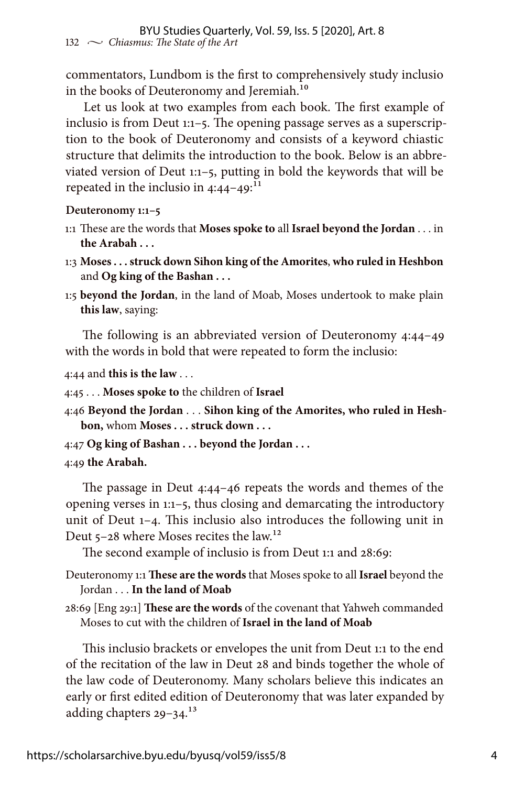commentators, Lundbom is the first to comprehensively study inclusio in the books of Deuteronomy and Jeremiah.<sup>10</sup>

Let us look at two examples from each book. The first example of inclusio is from Deut 1:1–5. The opening passage serves as a superscription to the book of Deuteronomy and consists of a keyword chiastic structure that delimits the introduction to the book. Below is an abbreviated version of Deut 1:1–5, putting in bold the keywords that will be repeated in the inclusio in  $4:44-49$ :<sup>11</sup>

**Deuteronomy 1:1–5**

- 1:1 These are the words that **Moses spoke to** all **Israel beyond the Jordan** . . . in **the Arabah . . .**
- 1:3 **Moses . . . struck down Sihon king of the Amorites**, **who ruled in Heshbon**  and **Og king of the Bashan . . .**
- 1:5 **beyond the Jordan**, in the land of Moab, Moses undertook to make plain **this law**, saying:

The following is an abbreviated version of Deuteronomy 4:44–49 with the words in bold that were repeated to form the inclusio:

4:44 and **this is the law** . . .

4:45 . . . **Moses spoke to** the children of **Israel**

4:46 **Beyond the Jordan** . . . **Sihon king of the Amorites, who ruled in Heshbon,** whom **Moses . . . struck down . . .**

4:47 **Og king of Bashan . . . beyond the Jordan . . .**

4:49 **the Arabah.**

The passage in Deut 4:44–46 repeats the words and themes of the opening verses in 1:1–5, thus closing and demarcating the introductory unit of Deut 1–4. This inclusio also introduces the following unit in Deut 5–28 where Moses recites the law.12

The second example of inclusio is from Deut 1:1 and 28:69:

Deuteronomy 1:1 **These are the words** that Moses spoke to all **Israel** beyond the Jordan . . . **In the land of Moab**

28:69 [Eng 29:1] **These are the words** of the covenant that Yahweh commanded Moses to cut with the children of **Israel in the land of Moab**

This inclusio brackets or envelopes the unit from Deut 1:1 to the end of the recitation of the law in Deut 28 and binds together the whole of the law code of Deuteronomy. Many scholars believe this indicates an early or first edited edition of Deuteronomy that was later expanded by adding chapters 29-34.<sup>13</sup>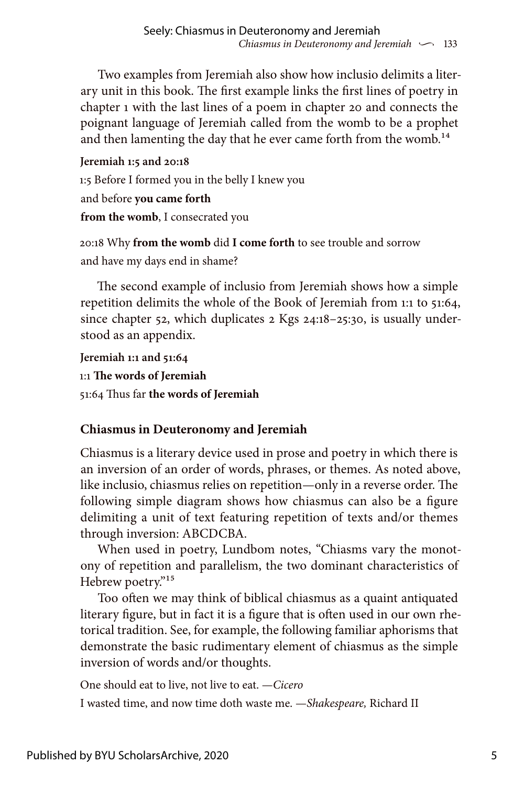Two examples from Jeremiah also show how inclusio delimits a literary unit in this book. The first example links the first lines of poetry in chapter 1 with the last lines of a poem in chapter 20 and connects the poignant language of Jeremiah called from the womb to be a prophet and then lamenting the day that he ever came forth from the womb.<sup>14</sup>

**Jeremiah 1:5 and 20:18** 1:5 Before I formed you in the belly I knew you and before **you came forth from the womb**, I consecrated you

20:18 Why **from the womb** did **I come forth** to see trouble and sorrow and have my days end in shame?

The second example of inclusio from Jeremiah shows how a simple repetition delimits the whole of the Book of Jeremiah from 1:1 to 51:64, since chapter 52, which duplicates 2 Kgs 24:18–25:30, is usually understood as an appendix.

**Jeremiah 1:1 and 51:64** 1:1 **The words of Jeremiah** 51:64 Thus far **the words of Jeremiah**

## **Chiasmus in Deuteronomy and Jeremiah**

Chiasmus is a literary device used in prose and poetry in which there is an inversion of an order of words, phrases, or themes. As noted above, like inclusio, chiasmus relies on repetition—only in a reverse order. The following simple diagram shows how chiasmus can also be a figure delimiting a unit of text featuring repetition of texts and/or themes through inversion: ABCDCBA.

When used in poetry, Lundbom notes, "Chiasms vary the monotony of repetition and parallelism, the two dominant characteristics of Hebrew poetry."<sup>15</sup>

Too often we may think of biblical chiasmus as a quaint antiquated literary figure, but in fact it is a figure that is often used in our own rhetorical tradition. See, for example, the following familiar aphorisms that demonstrate the basic rudimentary element of chiasmus as the simple inversion of words and/or thoughts.

One should eat to live, not live to eat. —*Cicero* I wasted time, and now time doth waste me. —*Shakespeare,* Richard II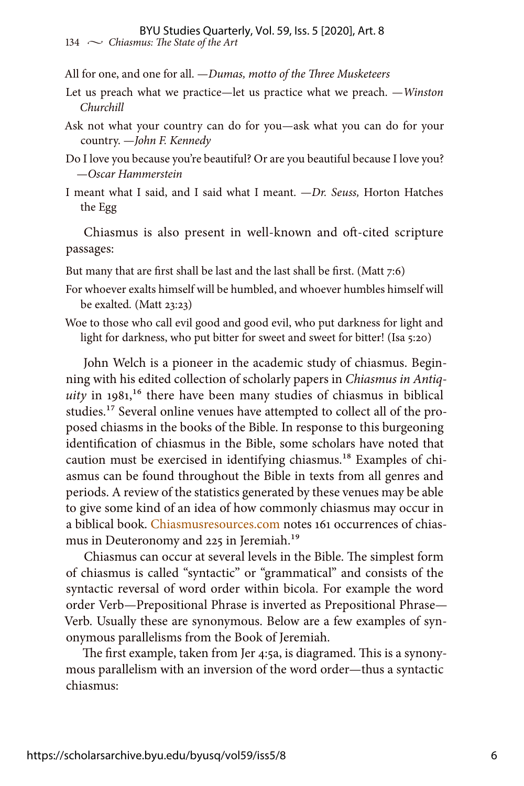All for one, and one for all. —*Dumas, motto of the Three Musketeers*

- Let us preach what we practice—let us practice what we preach. —*Winston Churchill*
- Ask not what your country can do for you—ask what you can do for your country. —*John F. Kennedy*
- Do I love you because you're beautiful? Or are you beautiful because I love you? —*Oscar Hammerstein*
- I meant what I said, and I said what I meant. —*Dr. Seuss,* Horton Hatches the Egg

Chiasmus is also present in well-known and oft-cited scripture passages:

But many that are first shall be last and the last shall be first. (Matt 7:6)

- For whoever exalts himself will be humbled, and whoever humbles himself will be exalted*.* (Matt 23:23)
- Woe to those who call evil good and good evil, who put darkness for light and light for darkness, who put bitter for sweet and sweet for bitter! (Isa 5:20)

John Welch is a pioneer in the academic study of chiasmus. Beginning with his edited collection of scholarly papers in *Chiasmus in Antiq* $uity$  in  $1981$ ,<sup>16</sup> there have been many studies of chiasmus in biblical studies.<sup>17</sup> Several online venues have attempted to collect all of the proposed chiasms in the books of the Bible. In response to this burgeoning identification of chiasmus in the Bible, some scholars have noted that caution must be exercised in identifying chiasmus.<sup>18</sup> Examples of chiasmus can be found throughout the Bible in texts from all genres and periods. A review of the statistics generated by these venues may be able to give some kind of an idea of how commonly chiasmus may occur in a biblical book. [Chiasmusresources.com](https://chiasmusresources.org/) notes 161 occurrences of chiasmus in Deuteronomy and 225 in Jeremiah.<sup>19</sup>

Chiasmus can occur at several levels in the Bible. The simplest form of chiasmus is called "syntactic" or "grammatical" and consists of the syntactic reversal of word order within bicola. For example the word order Verb—Prepositional Phrase is inverted as Prepositional Phrase— Verb. Usually these are synonymous. Below are a few examples of synonymous parallelisms from the Book of Jeremiah.

The first example, taken from Jer 4:5a, is diagramed. This is a synonymous parallelism with an inversion of the word order—thus a syntactic chiasmus: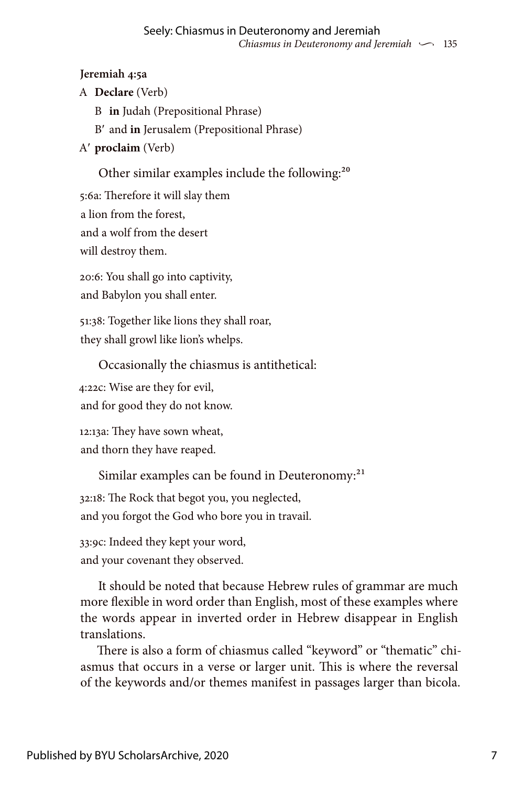## **Jeremiah 4:5a**

- A **Declare** (Verb)
	- B **in** Judah (Prepositional Phrase)
	- B′ and **in** Jerusalem (Prepositional Phrase)
- A′ **proclaim** (Verb)

Other similar examples include the following:<sup>20</sup>

5:6a: Therefore it will slay them a lion from the forest, and a wolf from the desert will destroy them.

20:6: You shall go into captivity, and Babylon you shall enter.

51:38: Together like lions they shall roar, they shall growl like lion's whelps.

Occasionally the chiasmus is antithetical:

4:22c: Wise are they for evil,

and for good they do not know.

12:13a: They have sown wheat, and thorn they have reaped.

Similar examples can be found in Deuteronomy:<sup>21</sup>

32:18: The Rock that begot you, you neglected,

and you forgot the God who bore you in travail.

33:9c: Indeed they kept your word, and your covenant they observed.

It should be noted that because Hebrew rules of grammar are much more flexible in word order than English, most of these examples where the words appear in inverted order in Hebrew disappear in English translations.

There is also a form of chiasmus called "keyword" or "thematic" chiasmus that occurs in a verse or larger unit. This is where the reversal of the keywords and/or themes manifest in passages larger than bicola.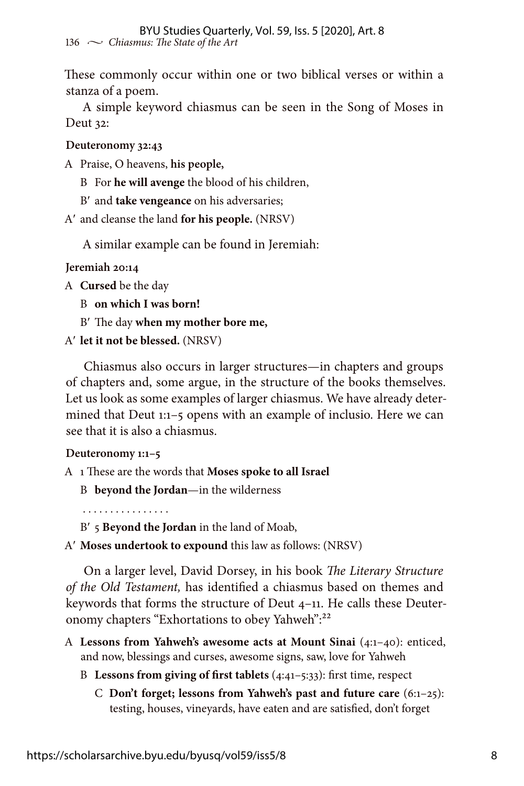These commonly occur within one or two biblical verses or within a stanza of a poem.

A simple keyword chiasmus can be seen in the Song of Moses in Deut 32:

**Deuteronomy 32:43**

A Praise, O heavens, **his people,**

B For **he will avenge** the blood of his children,

B′ and **take vengeance** on his adversaries;

A′ and cleanse the land **for his people.** (NRSV)

A similar example can be found in Jeremiah:

**Jeremiah 20:14**

A **Cursed** be the day

B **on which I was born!**

B′ The day **when my mother bore me,**

A′ **let it not be blessed.** (NRSV)

Chiasmus also occurs in larger structures—in chapters and groups of chapters and, some argue, in the structure of the books themselves. Let us look as some examples of larger chiasmus. We have already determined that Deut 1:1–5 opens with an example of inclusio. Here we can see that it is also a chiasmus.

#### **Deuteronomy 1:1–5**

A 1 These are the words that **Moses spoke to all Israel**

B **beyond the Jordan**—in the wilderness

. . . . . . . . . . . . . . . .

B′ 5 **Beyond the Jordan** in the land of Moab,

A′ **Moses undertook to expound** this law as follows: (NRSV)

On a larger level, David Dorsey, in his book *The Literary Structure of the Old Testament,* has identified a chiasmus based on themes and keywords that forms the structure of Deut 4–11. He calls these Deuteronomy chapters "Exhortations to obey Yahweh":<sup>22</sup>

- A **Lessons from Yahweh's awesome acts at Mount Sinai** (4:1–40): enticed, and now, blessings and curses, awesome signs, saw, love for Yahweh
	- B **Lessons from giving of first tablets** (4:41–5:33): first time, respect
		- C **Don't forget; lessons from Yahweh's past and future care** (6:1–25): testing, houses, vineyards, have eaten and are satisfied, don't forget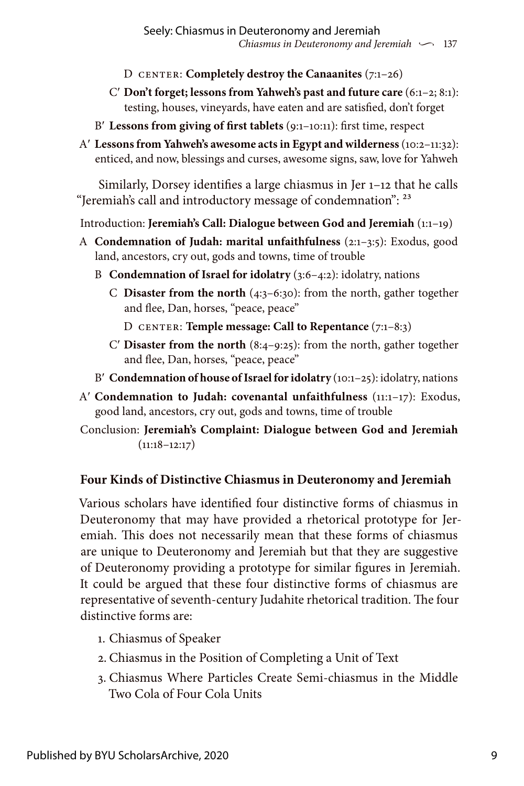- D CENTER: **Completely destroy the Canaanites** (7:1–26)
- C′ **Don't forget; lessons from Yahweh's past and future care** (6:1–2; 8:1): testing, houses, vineyards, have eaten and are satisfied, don't forget
- B′ **Lessons from giving of first tablets** (9:1–10:11): first time, respect
- A′ **Lessons from Yahweh's awesome acts in Egypt and wilderness** (10:2–11:32): enticed, and now, blessings and curses, awesome signs, saw, love for Yahweh

Similarly, Dorsey identifies a large chiasmus in Jer 1–12 that he calls "Jeremiah's call and introductory message of condemnation": 23

Introduction: **Jeremiah's Call: Dialogue between God and Jeremiah** (1:1–19)

- A **Condemnation of Judah: marital unfaithfulness** (2:1–3:5): Exodus, good land, ancestors, cry out, gods and towns, time of trouble
	- B **Condemnation of Israel for idolatry** (3:6–4:2): idolatry, nations
		- C **Disaster from the north** (4:3–6:30): from the north, gather together and flee, Dan, horses, "peace, peace"
			- D CENTER: **Temple message: Call to Repentance** (7:1–8:3)
		- C′ **Disaster from the north** (8:4–9:25): from the north, gather together and flee, Dan, horses, "peace, peace"
	- B′ **Condemnation of house of Israel for idolatry** (10:1–25): idolatry, nations
- A′ **Condemnation to Judah: covenantal unfaithfulness** (11:1–17): Exodus, good land, ancestors, cry out, gods and towns, time of trouble
- Conclusion: **Jeremiah's Complaint: Dialogue between God and Jeremiah**   $(11:18-12:17)$

## **Four Kinds of Distinctive Chiasmus in Deuteronomy and Jeremiah**

Various scholars have identified four distinctive forms of chiasmus in Deuteronomy that may have provided a rhetorical prototype for Jeremiah. This does not necessarily mean that these forms of chiasmus are unique to Deuteronomy and Jeremiah but that they are suggestive of Deuteronomy providing a prototype for similar figures in Jeremiah. It could be argued that these four distinctive forms of chiasmus are representative of seventh-century Judahite rhetorical tradition. The four distinctive forms are:

- 1. Chiasmus of Speaker
- 2. Chiasmus in the Position of Completing a Unit of Text
- 3. Chiasmus Where Particles Create Semi-chiasmus in the Middle Two Cola of Four Cola Units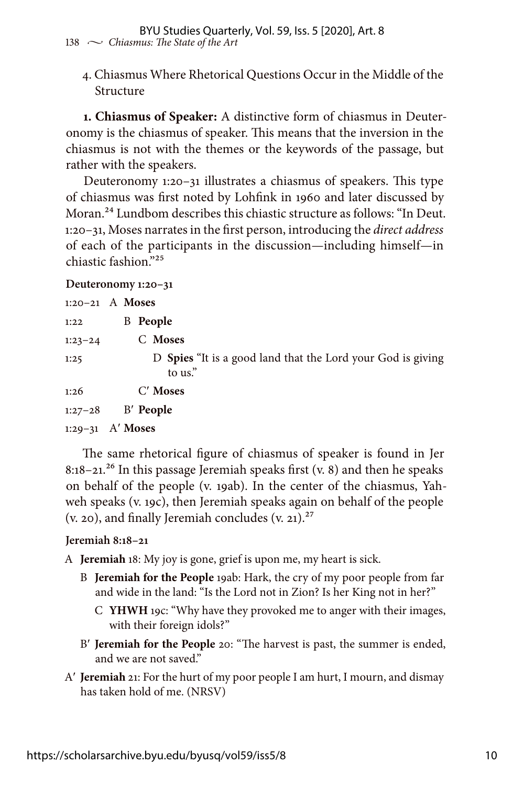4. Chiasmus Where Rhetorical Questions Occur in the Middle of the Structure

**1. Chiasmus of Speaker:** A distinctive form of chiasmus in Deuteronomy is the chiasmus of speaker. This means that the inversion in the chiasmus is not with the themes or the keywords of the passage, but rather with the speakers.

Deuteronomy 1:20–31 illustrates a chiasmus of speakers. This type of chiasmus was first noted by Lohfink in 1960 and later discussed by Moran.<sup>24</sup> Lundbom describes this chiastic structure as follows: "In Deut. 1:20–31, Moses narrates in the first person, introducing the *direct address* of each of the participants in the discussion—including himself—in chiastic fashion."25

#### **Deuteronomy 1:20–31**

|             | $1:20-21$ A Moses   |                                                             |
|-------------|---------------------|-------------------------------------------------------------|
| 1:22        | <b>B</b> People     |                                                             |
| $1:23 - 24$ | C Moses             |                                                             |
| 1:25        | to us."             | D Spies "It is a good land that the Lord your God is giving |
| 1:26        | $C'$ Moses          |                                                             |
|             | $1:27-28$ B' People |                                                             |
| $1:29-31$   | A' Moses            |                                                             |

The same rhetorical figure of chiasmus of speaker is found in Jer 8:18–21.<sup>26</sup> In this passage Jeremiah speaks first  $(v, 8)$  and then he speaks on behalf of the people (v. 19ab). In the center of the chiasmus, Yahweh speaks (v. 19c), then Jeremiah speaks again on behalf of the people  $(v. 20)$ , and finally Jeremiah concludes  $(v. 21).^{27}$ 

#### **Jeremiah 8:18–21**

A **Jeremiah** 18: My joy is gone, grief is upon me, my heart is sick.

- B **Jeremiah for the People** 19ab: Hark, the cry of my poor people from far and wide in the land: "Is the Lord not in Zion? Is her King not in her?"
	- C **YHWH** 19c: "Why have they provoked me to anger with their images, with their foreign idols?"
- B′ **Jeremiah for the People** 20: "The harvest is past, the summer is ended, and we are not saved."
- A′ **Jeremiah** 21: For the hurt of my poor people I am hurt, I mourn, and dismay has taken hold of me. (NRSV)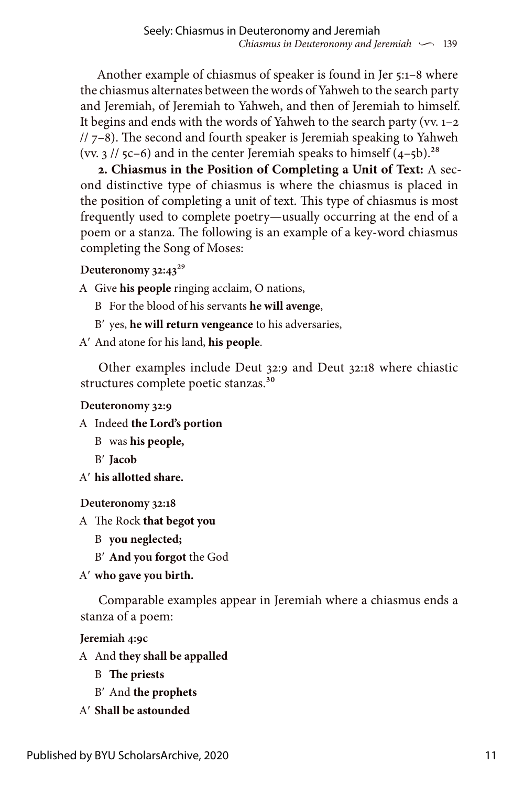Another example of chiasmus of speaker is found in Jer 5:1–8 where the chiasmus alternates between the words of Yahweh to the search party and Jeremiah, of Jeremiah to Yahweh, and then of Jeremiah to himself. It begins and ends with the words of Yahweh to the search party (vv. 1–2 // 7–8). The second and fourth speaker is Jeremiah speaking to Yahweh (vv.  $3$  //  $5c-6$ ) and in the center Jeremiah speaks to himself  $(4-5b)^{28}$ 

**2. Chiasmus in the Position of Completing a Unit of Text:** A second distinctive type of chiasmus is where the chiasmus is placed in the position of completing a unit of text. This type of chiasmus is most frequently used to complete poetry—usually occurring at the end of a poem or a stanza. The following is an example of a key-word chiasmus completing the Song of Moses:

## **Deuteronomy 32:43**29

A Give **his people** ringing acclaim, O nations,

- B For the blood of his servants **he will avenge**,
- B′ yes, **he will return vengeance** to his adversaries,
- A′ And atone for his land, **his people**.

Other examples include Deut 32:9 and Deut 32:18 where chiastic structures complete poetic stanzas.<sup>30</sup>

#### **Deuteronomy 32:9**

A Indeed **the Lord's portion**

- B was **his people,**
- B′ **Jacob**
- A′ **his allotted share.**

## **Deuteronomy 32:18**

A The Rock **that begot you**

- B **you neglected;**
- B′ **And you forgot** the God

## A′ **who gave you birth.**

Comparable examples appear in Jeremiah where a chiasmus ends a stanza of a poem:

**Jeremiah 4:9c**

- A And **they shall be appalled**
	- B **The priests**
	- B′ And **the prophets**
- A′ **Shall be astounded**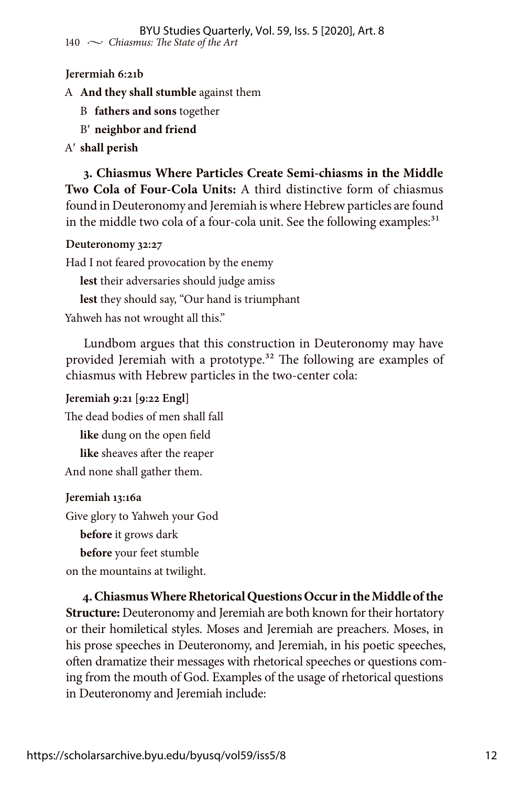#### **Jerermiah 6:21b**

A **And they shall stumble** against them

- B **fathers and sons** together
- B′ **neighbor and friend**

#### A′ **shall perish**

**3. Chiasmus Where Particles Create Semi-chiasms in the Middle Two Cola of Four-Cola Units:** A third distinctive form of chiasmus found in Deuteronomy and Jeremiah is where Hebrew particles are found in the middle two cola of a four-cola unit. See the following examples: $31$ 

#### **Deuteronomy 32:27**

Had I not feared provocation by the enemy

**lest** their adversaries should judge amiss

**lest** they should say, "Our hand is triumphant

Yahweh has not wrought all this."

Lundbom argues that this construction in Deuteronomy may have provided Jeremiah with a prototype.<sup>32</sup> The following are examples of chiasmus with Hebrew particles in the two-center cola:

**Jeremiah 9:21 [9:22 Engl]** The dead bodies of men shall fall **like** dung on the open field **like** sheaves after the reaper And none shall gather them.

#### **Jeremiah 13:16a**

Give glory to Yahweh your God

**before** it grows dark

**before** your feet stumble

on the mountains at twilight.

**4. Chiasmus Where Rhetorical Questions Occur in the Middle of the Structure:** Deuteronomy and Jeremiah are both known for their hortatory or their homiletical styles. Moses and Jeremiah are preachers. Moses, in his prose speeches in Deuteronomy, and Jeremiah, in his poetic speeches, often dramatize their messages with rhetorical speeches or questions coming from the mouth of God. Examples of the usage of rhetorical questions in Deuteronomy and Jeremiah include: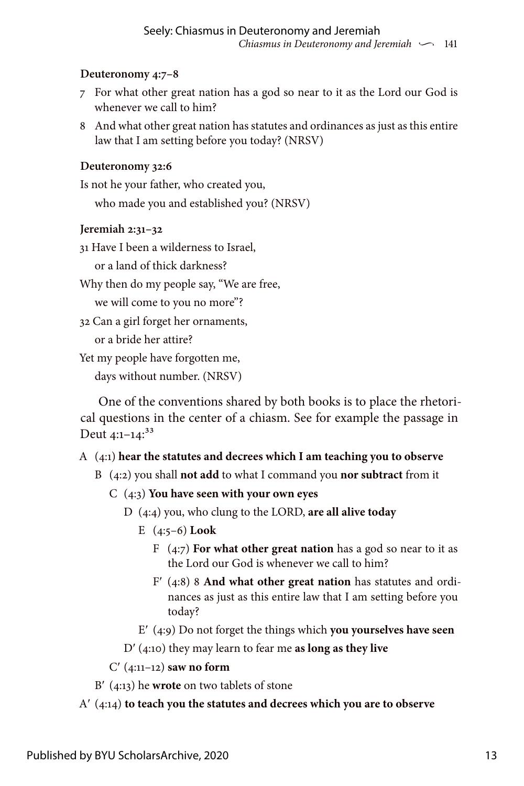## **Deuteronomy 4:7–8**

- 7 For what other great nation has a god so near to it as the Lord our God is whenever we call to him?
- 8 And what other great nation has statutes and ordinances as just as this entire law that I am setting before you today? (NRSV)

## **Deuteronomy 32:6**

Is not he your father, who created you,

who made you and established you? (NRSV)

## **Jeremiah 2:31–32**

31 Have I been a wilderness to Israel,

or a land of thick darkness?

Why then do my people say, "We are free,

we will come to you no more"?

32 Can a girl forget her ornaments,

or a bride her attire?

Yet my people have forgotten me,

days without number. (NRSV)

One of the conventions shared by both books is to place the rhetorical questions in the center of a chiasm. See for example the passage in Deut  $4:1-14$ :<sup>33</sup>

## A (4:1) **hear the statutes and decrees which I am teaching you to observe**

- B (4:2) you shall **not add** to what I command you **nor subtract** from it
	- C (4:3) **You have seen with your own eyes**
		- D (4:4) you, who clung to the LORD, **are all alive today**
			- E (4:5–6) **Look**
				- F (4:7) **For what other great nation** has a god so near to it as the Lord our God is whenever we call to him?
				- F′ (4:8) 8 **And what other great nation** has statutes and ordinances as just as this entire law that I am setting before you today?
			- E′ (4:9) Do not forget the things which **you yourselves have seen**
		- D′ (4:10) they may learn to fear me **as long as they live**

## C′ (4:11–12) **saw no form**

B′ (4:13) he **wrote** on two tablets of stone

## A′ (4:14) **to teach you the statutes and decrees which you are to observe**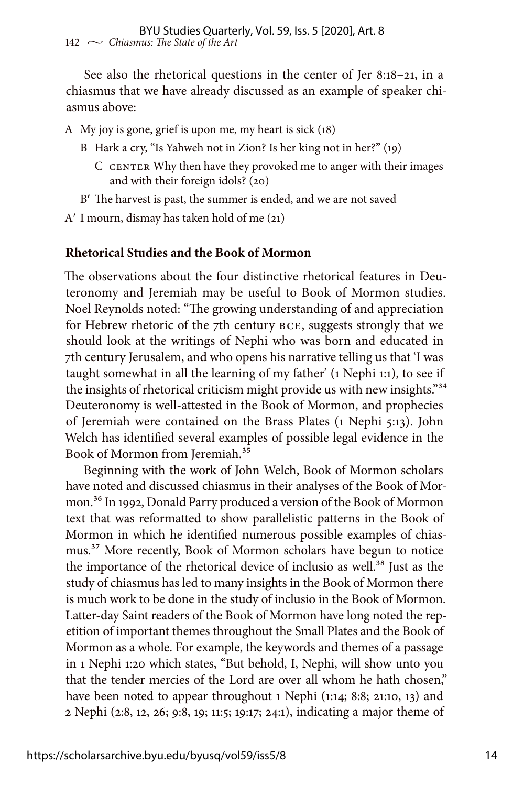See also the rhetorical questions in the center of Jer 8:18–21, in a chiasmus that we have already discussed as an example of speaker chiasmus above:

A My joy is gone, grief is upon me, my heart is sick (18)

- B Hark a cry, "Is Yahweh not in Zion? Is her king not in her?" (19)
	- C CENTER Why then have they provoked me to anger with their images and with their foreign idols? (20)

B′ The harvest is past, the summer is ended, and we are not saved

A′ I mourn, dismay has taken hold of me (21)

#### **Rhetorical Studies and the Book of Mormon**

The observations about the four distinctive rhetorical features in Deuteronomy and Jeremiah may be useful to Book of Mormon studies. Noel Reynolds noted: "The growing understanding of and appreciation for Hebrew rhetoric of the 7th century BCE, suggests strongly that we should look at the writings of Nephi who was born and educated in 7th century Jerusalem, and who opens his narrative telling us that 'I was taught somewhat in all the learning of my father' (1 Nephi 1:1), to see if the insights of rhetorical criticism might provide us with new insights."<sup>34</sup> Deuteronomy is well-attested in the Book of Mormon, and prophecies of Jeremiah were contained on the Brass Plates (1 Nephi 5:13). John Welch has identified several examples of possible legal evidence in the Book of Mormon from Jeremiah.<sup>35</sup>

Beginning with the work of John Welch, Book of Mormon scholars have noted and discussed chiasmus in their analyses of the Book of Mormon.36 In 1992, Donald Parry produced a version of the Book of Mormon text that was reformatted to show parallelistic patterns in the Book of Mormon in which he identified numerous possible examples of chiasmus.37 More recently, Book of Mormon scholars have begun to notice the importance of the rhetorical device of inclusio as well.<sup>38</sup> Just as the study of chiasmus has led to many insights in the Book of Mormon there is much work to be done in the study of inclusio in the Book of Mormon. Latter-day Saint readers of the Book of Mormon have long noted the repetition of important themes throughout the Small Plates and the Book of Mormon as a whole. For example, the keywords and themes of a passage in 1 Nephi 1:20 which states, "But behold, I, Nephi, will show unto you that the tender mercies of the Lord are over all whom he hath chosen," have been noted to appear throughout 1 Nephi (1:14; 8:8; 21:10, 13) and 2 Nephi (2:8, 12, 26; 9:8, 19; 11:5; 19:17; 24:1), indicating a major theme of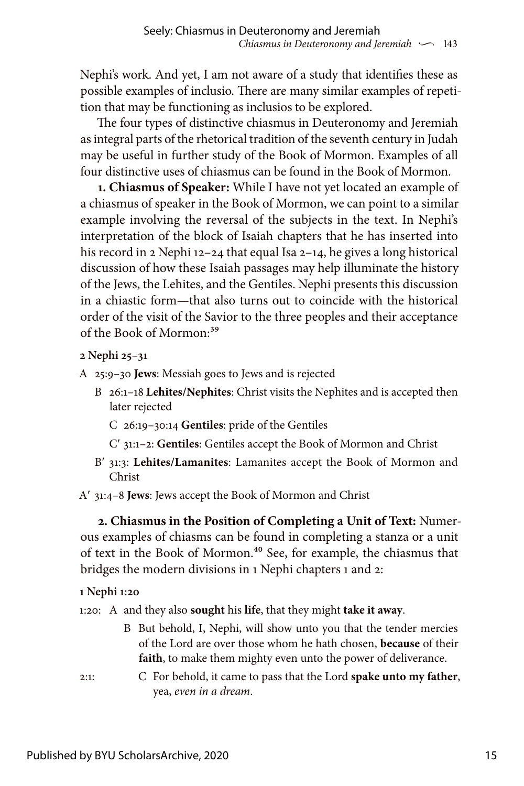Nephi's work. And yet, I am not aware of a study that identifies these as possible examples of inclusio. There are many similar examples of repetition that may be functioning as inclusios to be explored.

The four types of distinctive chiasmus in Deuteronomy and Jeremiah as integral parts of the rhetorical tradition of the seventh century in Judah may be useful in further study of the Book of Mormon. Examples of all four distinctive uses of chiasmus can be found in the Book of Mormon.

**1. Chiasmus of Speaker:** While I have not yet located an example of a chiasmus of speaker in the Book of Mormon, we can point to a similar example involving the reversal of the subjects in the text. In Nephi's interpretation of the block of Isaiah chapters that he has inserted into his record in 2 Nephi 12–24 that equal Isa 2–14, he gives a long historical discussion of how these Isaiah passages may help illuminate the history of the Jews, the Lehites, and the Gentiles. Nephi presents this discussion in a chiastic form—that also turns out to coincide with the historical order of the visit of the Savior to the three peoples and their acceptance of the Book of Mormon:39

**2 Nephi 25–31**

- A 25:9–30 **Jews**: Messiah goes to Jews and is rejected
	- B 26:1–18 **Lehites/Nephites**: Christ visits the Nephites and is accepted then later rejected
		- C 26:19–30:14 **Gentiles**: pride of the Gentiles
		- C′ 31:1–2: **Gentiles**: Gentiles accept the Book of Mormon and Christ
	- B′ 31:3: **Lehites/Lamanites**: Lamanites accept the Book of Mormon and Christ

A′ 31:4–8 **Jews**: Jews accept the Book of Mormon and Christ

**2. Chiasmus in the Position of Completing a Unit of Text:** Numerous examples of chiasms can be found in completing a stanza or a unit of text in the Book of Mormon.40 See, for example, the chiasmus that bridges the modern divisions in 1 Nephi chapters 1 and 2:

## **1 Nephi 1:20**

1:20: A and they also **sought** his **life**, that they might **take it away**.

- B But behold, I, Nephi, will show unto you that the tender mercies of the Lord are over those whom he hath chosen, **because** of their **faith**, to make them mighty even unto the power of deliverance.
- 2:1: C For behold, it came to pass that the Lord **spake unto my father**, yea, *even in a dream*.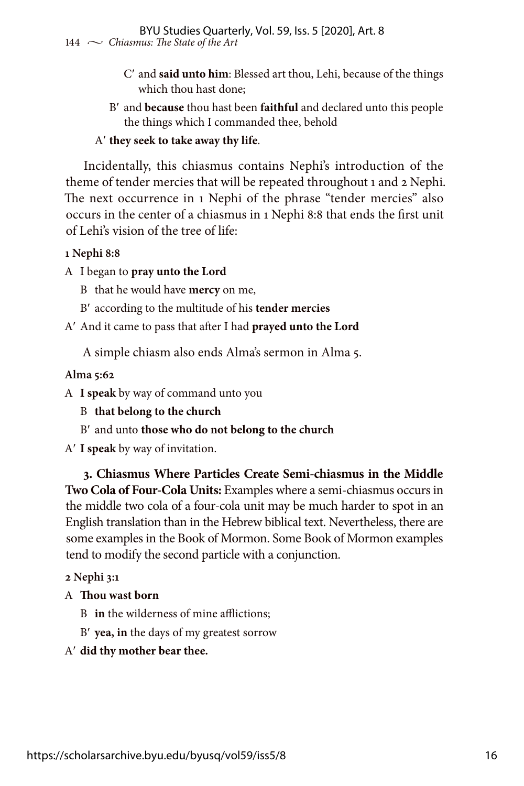- C′ and **said unto him**: Blessed art thou, Lehi, because of the things which thou hast done;
- B′ and **because** thou hast been **faithful** and declared unto this people the things which I commanded thee, behold

## A′ **they seek to take away thy life**.

Incidentally, this chiasmus contains Nephi's introduction of the theme of tender mercies that will be repeated throughout 1 and 2 Nephi. The next occurrence in 1 Nephi of the phrase "tender mercies" also occurs in the center of a chiasmus in 1 Nephi 8:8 that ends the first unit of Lehi's vision of the tree of life:

#### **1 Nephi 8:8**

A I began to **pray unto the Lord**

B that he would have **mercy** on me,

- B′ according to the multitude of his **tender mercies**
- A′ And it came to pass that after I had **prayed unto the Lord**

A simple chiasm also ends Alma's sermon in Alma 5.

## **Alma 5:62**

A **I speak** by way of command unto you

B **that belong to the church**

B′ and unto **those who do not belong to the church**

A′ **I speak** by way of invitation.

**3. Chiasmus Where Particles Create Semi-chiasmus in the Middle Two Cola of Four-Cola Units:** Examples where a semi-chiasmus occurs in the middle two cola of a four-cola unit may be much harder to spot in an English translation than in the Hebrew biblical text. Nevertheless, there are some examples in the Book of Mormon. Some Book of Mormon examples tend to modify the second particle with a conjunction.

**2 Nephi 3:1**

## A **Thou wast born**

B **in** the wilderness of mine afflictions;

B′ **yea, in** the days of my greatest sorrow

A′ **did thy mother bear thee.**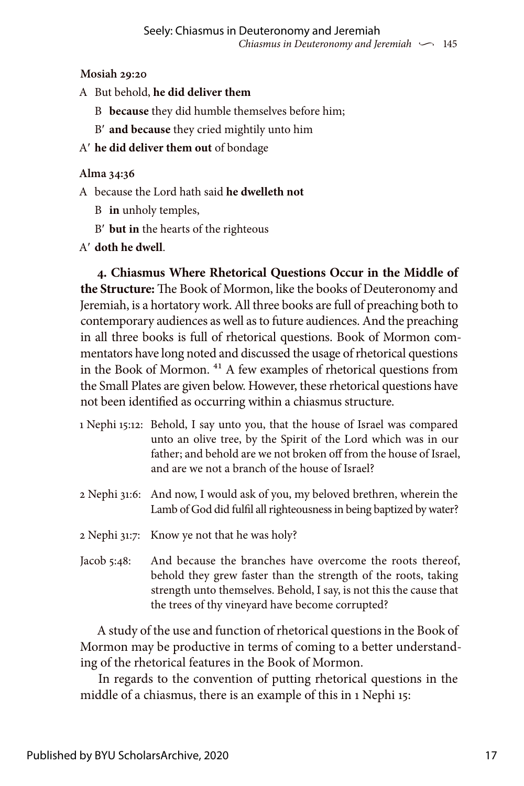## **Mosiah 29:20**

- A But behold, **he did deliver them**
	- B **because** they did humble themselves before him;
	- B′ **and because** they cried mightily unto him
- A′ **he did deliver them out** of bondage

## **Alma 34:36**

- A because the Lord hath said **he dwelleth not**
	- B **in** unholy temples,
	- B′ **but in** the hearts of the righteous
- A′ **doth he dwell**.

**4. Chiasmus Where Rhetorical Questions Occur in the Middle of the Structure:** The Book of Mormon, like the books of Deuteronomy and Jeremiah, is a hortatory work. All three books are full of preaching both to contemporary audiences as well as to future audiences. And the preaching in all three books is full of rhetorical questions. Book of Mormon commentators have long noted and discussed the usage of rhetorical questions in the Book of Mormon. 41 A few examples of rhetorical questions from the Small Plates are given below. However, these rhetorical questions have not been identified as occurring within a chiasmus structure.

- 1 Nephi 15:12: Behold, I say unto you, that the house of Israel was compared unto an olive tree, by the Spirit of the Lord which was in our father; and behold are we not broken off from the house of Israel, and are we not a branch of the house of Israel?
- 2 Nephi 31:6: And now, I would ask of you, my beloved brethren, wherein the Lamb of God did fulfil all righteousness in being baptized by water?
- 2 Nephi 31:7: Know ye not that he was holy?
- Jacob 5:48: And because the branches have overcome the roots thereof, behold they grew faster than the strength of the roots, taking strength unto themselves. Behold, I say, is not this the cause that the trees of thy vineyard have become corrupted?

A study of the use and function of rhetorical questions in the Book of Mormon may be productive in terms of coming to a better understanding of the rhetorical features in the Book of Mormon.

In regards to the convention of putting rhetorical questions in the middle of a chiasmus, there is an example of this in 1 Nephi 15: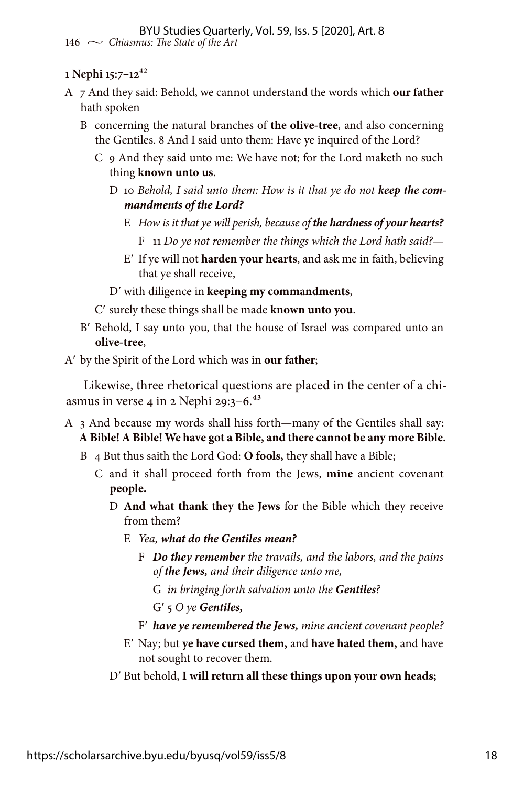#### **1 Nephi 15:7–12**42

- A 7 And they said: Behold, we cannot understand the words which **our father** hath spoken
	- B concerning the natural branches of **the olive-tree**, and also concerning the Gentiles. 8 And I said unto them: Have ye inquired of the Lord?
		- C 9 And they said unto me: We have not; for the Lord maketh no such thing **known unto us**.
			- D 10 *Behold, I said unto them: How is it that ye do not keep the commandments of the Lord?*
				- E *How is it that ye will perish, because of the hardness of your hearts?* F 11 *Do ye not remember the things which the Lord hath said?—*
				- E′ If ye will not **harden your hearts**, and ask me in faith, believing that ye shall receive,

D′ with diligence in **keeping my commandments**,

- C′ surely these things shall be made **known unto you**.
- B′ Behold, I say unto you, that the house of Israel was compared unto an **olive-tree**,

A′ by the Spirit of the Lord which was in **our father**;

Likewise, three rhetorical questions are placed in the center of a chiasmus in verse 4 in 2 Nephi 29:3–6. $43$ 

- A 3 And because my words shall hiss forth—many of the Gentiles shall say: **A Bible! A Bible! We have got a Bible, and there cannot be any more Bible.**
	- B 4 But thus saith the Lord God: **O fools,** they shall have a Bible;
		- C and it shall proceed forth from the Jews, **mine** ancient covenant **people.**
			- D **And what thank they the Jews** for the Bible which they receive from them?
				- E *Yea, what do the Gentiles mean?*
					- F *Do they remember the travails, and the labors, and the pains of the Jews, and their diligence unto me,*
						- G *in bringing forth salvation unto the Gentiles?*
						- G′ 5 *O ye Gentiles,*
					- F′ *have ye remembered the Jews, mine ancient covenant people?*
				- E′ Nay; but **ye have cursed them,** and **have hated them,** and have not sought to recover them.
			- D′ But behold, **I will return all these things upon your own heads;**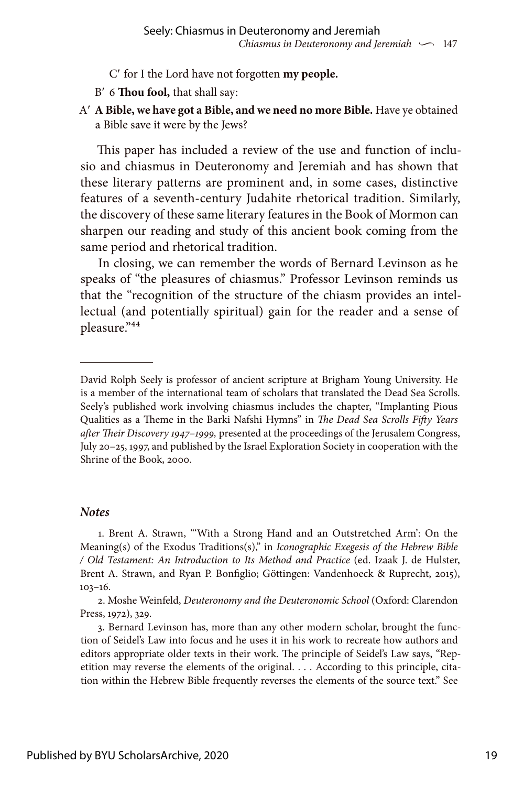- C′ for I the Lord have not forgotten **my people.**
- B′ 6 **Thou fool,** that shall say:
- A′ **A Bible, we have got a Bible, and we need no more Bible.** Have ye obtained a Bible save it were by the Jews?

This paper has included a review of the use and function of inclusio and chiasmus in Deuteronomy and Jeremiah and has shown that these literary patterns are prominent and, in some cases, distinctive features of a seventh-century Judahite rhetorical tradition. Similarly, the discovery of these same literary features in the Book of Mormon can sharpen our reading and study of this ancient book coming from the same period and rhetorical tradition.

In closing, we can remember the words of Bernard Levinson as he speaks of "the pleasures of chiasmus." Professor Levinson reminds us that the "recognition of the structure of the chiasm provides an intellectual (and potentially spiritual) gain for the reader and a sense of pleasure."44

#### *Notes*

1. Brent A. Strawn, "'With a Strong Hand and an Outstretched Arm': On the Meaning(s) of the Exodus Traditions(s)," in *Iconographic Exegesis of the Hebrew Bible / Old Testament: An Introduction to Its Method and Practice* (ed. Izaak J. de Hulster, Brent A. Strawn, and Ryan P. Bonfiglio; Göttingen: Vandenhoeck & Ruprecht, 2015), 103–16.

David Rolph Seely is professor of ancient scripture at Brigham Young University. He is a member of the international team of scholars that translated the Dead Sea Scrolls. Seely's published work involving chiasmus includes the chapter, "Implanting Pious Qualities as a Theme in the Barki Nafshi Hymns" in *The Dead Sea Scrolls Fifty Years after Their Discovery 1947–1999,* presented at the proceedings of the Jerusalem Congress, July 20–25, 1997, and published by the Israel Exploration Society in cooperation with the Shrine of the Book, 2000.

<sup>2.</sup> Moshe Weinfeld, *Deuteronomy and the Deuteronomic School* (Oxford: Clarendon Press, 1972), 329.

<sup>3.</sup> Bernard Levinson has, more than any other modern scholar, brought the function of Seidel's Law into focus and he uses it in his work to recreate how authors and editors appropriate older texts in their work. The principle of Seidel's Law says, "Repetition may reverse the elements of the original. . . . According to this principle, citation within the Hebrew Bible frequently reverses the elements of the source text." See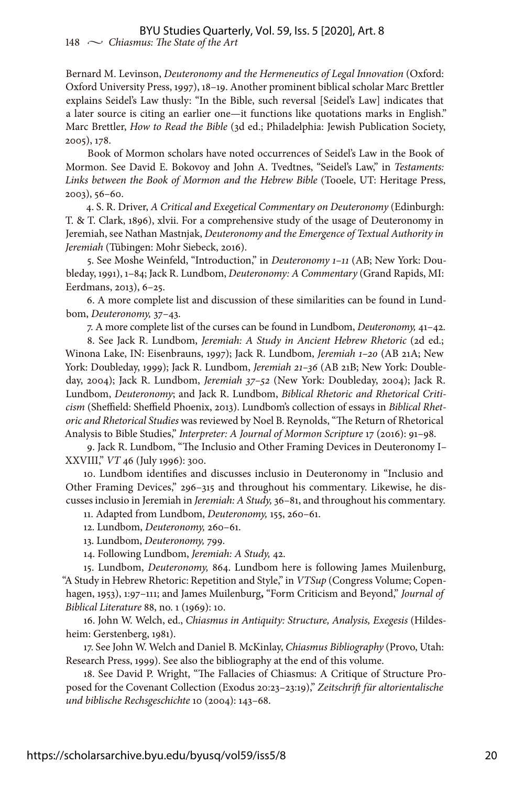Bernard M. Levinson, *Deuteronomy and the Hermeneutics of Legal Innovation* (Oxford: Oxford University Press, 1997), 18–19. Another prominent biblical scholar Marc Brettler explains Seidel's Law thusly: "In the Bible, such reversal [Seidel's Law] indicates that a later source is citing an earlier one—it functions like quotations marks in English." Marc Brettler, *How to Read the Bible* (3d ed.; Philadelphia: Jewish Publication Society, 2005), 178.

Book of Mormon scholars have noted occurrences of Seidel's Law in the Book of Mormon. See David E. Bokovoy and John A. Tvedtnes, "Seidel's Law," in *Testaments: Links between the Book of Mormon and the Hebrew Bible* (Tooele, UT: Heritage Press, 2003), 56–60.

4. S. R. Driver, *A Critical and Exegetical Commentary on Deuteronomy* (Edinburgh: T. & T. Clark, 1896), xlvii. For a comprehensive study of the usage of Deuteronomy in Jeremiah, see Nathan Mastnjak, *Deuteronomy and the Emergence of Textual Authority in Jeremiah* (Tübingen: Mohr Siebeck, 2016).

5. See Moshe Weinfeld, "Introduction," in *Deuteronomy 1–11* (AB; New York: Doubleday, 1991), 1–84; Jack R. Lundbom, *Deuteronomy: A Commentary* (Grand Rapids, MI: Eerdmans, 2013), 6–25.

6. A more complete list and discussion of these similarities can be found in Lundbom, *Deuteronomy,* 37–43.

7. A more complete list of the curses can be found in Lundbom, *Deuteronomy,* 41–42.

8. See Jack R. Lundbom, *Jeremiah: A Study in Ancient Hebrew Rhetoric* (2d ed.; Winona Lake, IN: Eisenbrauns, 1997); Jack R. Lundbom, *Jeremiah 1–20* (AB 21A; New York: Doubleday, 1999); Jack R. Lundbom, *Jeremiah 21–36* (AB 21B; New York: Doubleday, 2004); Jack R. Lundbom, *Jeremiah 37–52* (New York: Doubleday, 2004); Jack R. Lundbom, *Deuteronomy*; and Jack R. Lundbom, *Biblical Rhetoric and Rhetorical Criticism* (Sheffield: Sheffield Phoenix, 2013). Lundbom's collection of essays in *Biblical Rhetoric and Rhetorical Studies* was reviewed by Noel B. Reynolds, "The Return of Rhetorical Analysis to Bible Studies," *Interpreter: A Journal of Mormon Scripture* 17 (2016): 91–98.

9. Jack R. Lundbom, "The Inclusio and Other Framing Devices in Deuteronomy I– XXVIII," *VT* 46 (July 1996): 300.

10. Lundbom identifies and discusses inclusio in Deuteronomy in "Inclusio and Other Framing Devices," 296–315 and throughout his commentary. Likewise, he discusses inclusio in Jeremiah in *Jeremiah: A Study,* 36–81, and throughout his commentary.

11. Adapted from Lundbom, *Deuteronomy,* 155, 260–61.

12. Lundbom, *Deuteronomy,* 260–61.

13. Lundbom, *Deuteronomy,* 799.

14. Following Lundbom, *Jeremiah: A Study,* 42.

15. Lundbom, *Deuteronomy,* 864. Lundbom here is following James Muilenburg, "A Study in Hebrew Rhetoric: Repetition and Style," in *VTSup* (Congress Volume; Copenhagen, 1953), 1:97–111; and James Muilenburg**,** "Form Criticism and Beyond," *Journal of Biblical Literature* 88, no. 1 (1969): 10.

16. John W. Welch, ed., *Chiasmus in Antiquity: Structure, Analysis, Exegesis* (Hildesheim: Gerstenberg, 1981).

17. See John W. Welch and Daniel B. McKinlay, *Chiasmus Bibliography* (Provo, Utah: Research Press, 1999). See also the bibliography at the end of this volume.

18. See David P. Wright, "The Fallacies of Chiasmus: A Critique of Structure Proposed for the Covenant Collection (Exodus 20:23–23:19)," *Zeitschrift für altorientalische und biblische Rechsgeschichte* 10 (2004): 143–68.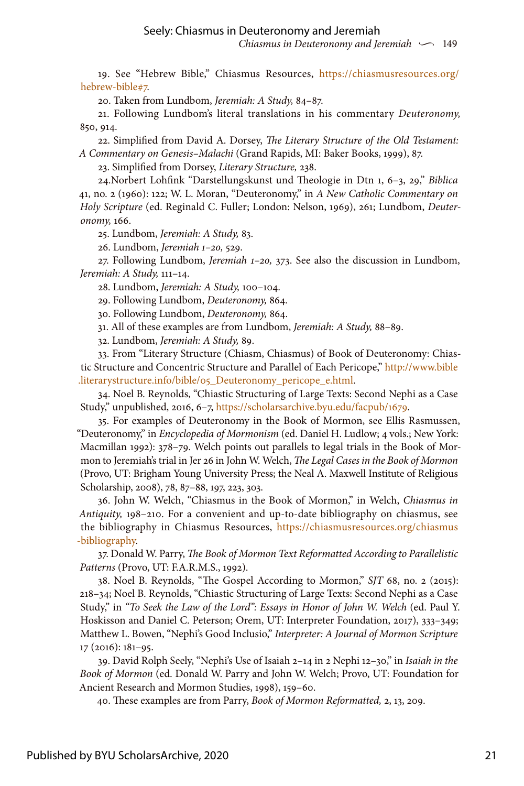19. See "Hebrew Bible," Chiasmus Resources, [https://chiasmusresources.org/](https://chiasmusresources.org/hebrew-bible#7) [hebrew-bible#7](https://chiasmusresources.org/hebrew-bible#7).

20. Taken from Lundbom, *Jeremiah: A Study,* 84–87.

21. Following Lundbom's literal translations in his commentary *Deuteronomy,* 850, 914.

22. Simplified from David A. Dorsey, *The Literary Structure of the Old Testament: A Commentary on Genesis–Malachi* (Grand Rapids, MI: Baker Books, 1999), 87.

23. Simplified from Dorsey, *Literary Structure,* 238.

24.Norbert Lohfink "Darstellungskunst und Theologie in Dtn 1, 6–3, 29," *Biblica* 41, no. 2 (1960): 122; W. L. Moran, "Deuteronomy," in *A New Catholic Commentary on Holy Scripture* (ed. Reginald C. Fuller; London: Nelson, 1969), 261; Lundbom, *Deuteronomy,* 166.

25. Lundbom, *Jeremiah: A Study,* 83.

26. Lundbom, *Jeremiah 1–20,* 529.

27. Following Lundbom, *Jeremiah 1–20,* 373. See also the discussion in Lundbom, *Jeremiah: A Study,* 111–14.

28. Lundbom, *Jeremiah: A Study,* 100–104.

29. Following Lundbom, *Deuteronomy,* 864.

30. Following Lundbom, *Deuteronomy,* 864.

31. All of these examples are from Lundbom, *Jeremiah: A Study,* 88–89.

32. Lundbom, *Jeremiah: A Study,* 89.

33. From "Literary Structure (Chiasm, Chiasmus) of Book of Deuteronomy: Chiastic Structure and Concentric Structure and Parallel of Each Pericope," [http://www.bible](http://www.bible.literarystructure.info/bible/05_Deuteronomy_pericope_e.html) [.literarystructure.info/bible/05\\_Deuteronomy\\_pericope\\_e.html](http://www.bible.literarystructure.info/bible/05_Deuteronomy_pericope_e.html).

34. Noel B. Reynolds, "Chiastic Structuring of Large Texts: Second Nephi as a Case Study," unpublished, 2016, 6–7, [https://scholarsarchive.byu.edu/facpub/1679.](https://scholarsarchive.byu.edu/facpub/1679)

35. For examples of Deuteronomy in the Book of Mormon, see Ellis Rasmussen, "Deuteronomy," in *Encyclopedia of Mormonism* (ed. Daniel H. Ludlow; 4 vols.; New York: Macmillan 1992): 378–79. Welch points out parallels to legal trials in the Book of Mormon to Jeremiah's trial in Jer 26 in John W. Welch, *The Legal Cases in the Book of Mormon* (Provo, UT: Brigham Young University Press; the Neal A. Maxwell Institute of Religious Scholarship, 2008), 78, 87–88, 197, 223, 303.

36. John W. Welch, "Chiasmus in the Book of Mormon," in Welch, *Chiasmus in Antiquity,* 198–210. For a convenient and up-to-date bibliography on chiasmus, see the bibliography in Chiasmus Resources, [https://chiasmusresources.org/chiasmus](https://chiasmusresources.org/chiasmus-bibliography) [-bibliography.](https://chiasmusresources.org/chiasmus-bibliography)

37. Donald W. Parry, *The Book of Mormon Text Reformatted According to Parallelistic Patterns* (Provo, UT: F.A.R.M.S., 1992).

38. Noel B. Reynolds, "The Gospel According to Mormon," *SJT* 68, no. 2 (2015): 218–34; Noel B. Reynolds, "Chiastic Structuring of Large Texts: Second Nephi as a Case Study," in *"To Seek the Law of the Lord": Essays in Honor of John W. Welch* (ed. Paul Y. Hoskisson and Daniel C. Peterson; Orem, UT: Interpreter Foundation, 2017), 333–349; Matthew L. Bowen, "Nephi's Good Inclusio," *Interpreter: A Journal of Mormon Scripture*  17 (2016): 181–95.

39. David Rolph Seely, "Nephi's Use of Isaiah 2–14 in 2 Nephi 12–30," in *Isaiah in the Book of Mormon* (ed. Donald W. Parry and John W. Welch; Provo, UT: Foundation for Ancient Research and Mormon Studies, 1998), 159–60.

40. These examples are from Parry, *Book of Mormon Reformatted,* 2, 13, 209.